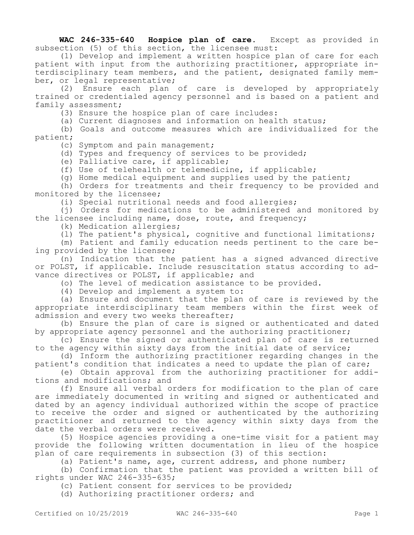**WAC 246-335-640 Hospice plan of care.** Except as provided in subsection (5) of this section, the licensee must:

(1) Develop and implement a written hospice plan of care for each patient with input from the authorizing practitioner, appropriate interdisciplinary team members, and the patient, designated family member, or legal representative;

(2) Ensure each plan of care is developed by appropriately trained or credentialed agency personnel and is based on a patient and family assessment;

(3) Ensure the hospice plan of care includes:

(a) Current diagnoses and information on health status;

(b) Goals and outcome measures which are individualized for the patient;

(c) Symptom and pain management;

(d) Types and frequency of services to be provided;

(e) Palliative care, if applicable;

(f) Use of telehealth or telemedicine, if applicable;

(g) Home medical equipment and supplies used by the patient;

(h) Orders for treatments and their frequency to be provided and monitored by the licensee;

(i) Special nutritional needs and food allergies;

(j) Orders for medications to be administered and monitored by the licensee including name, dose, route, and frequency;

(k) Medication allergies;

(l) The patient's physical, cognitive and functional limitations;

(m) Patient and family education needs pertinent to the care being provided by the licensee;

(n) Indication that the patient has a signed advanced directive or POLST, if applicable. Include resuscitation status according to advance directives or POLST, if applicable; and

(o) The level of medication assistance to be provided.

(4) Develop and implement a system to:

(a) Ensure and document that the plan of care is reviewed by the appropriate interdisciplinary team members within the first week of admission and every two weeks thereafter;

(b) Ensure the plan of care is signed or authenticated and dated by appropriate agency personnel and the authorizing practitioner;

(c) Ensure the signed or authenticated plan of care is returned to the agency within sixty days from the initial date of service;

(d) Inform the authorizing practitioner regarding changes in the patient's condition that indicates a need to update the plan of care;

(e) Obtain approval from the authorizing practitioner for additions and modifications; and

(f) Ensure all verbal orders for modification to the plan of care are immediately documented in writing and signed or authenticated and dated by an agency individual authorized within the scope of practice to receive the order and signed or authenticated by the authorizing practitioner and returned to the agency within sixty days from the date the verbal orders were received.

(5) Hospice agencies providing a one-time visit for a patient may provide the following written documentation in lieu of the hospice plan of care requirements in subsection (3) of this section:

(a) Patient's name, age, current address, and phone number;

(b) Confirmation that the patient was provided a written bill of rights under WAC 246-335-635;

(c) Patient consent for services to be provided;

(d) Authorizing practitioner orders; and